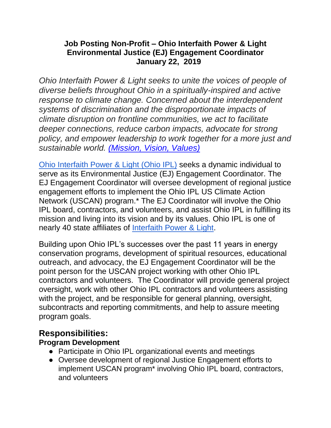#### **Job Posting Non-Profit – Ohio Interfaith Power & Light Environmental Justice (EJ) Engagement Coordinator January 22, 2019**

*Ohio Interfaith Power & Light seeks to unite the voices of people of diverse beliefs throughout Ohio in a spiritually-inspired and active response to climate change. Concerned about the interdependent systems of discrimination and the disproportionate impacts of climate disruption on frontline communities, we act to facilitate deeper connections, reduce carbon impacts, advocate for strong policy, and empower leadership to work together for a more just and sustainable world. [\(Mission, Vision, Values\)](https://ohipl.org/about-us/mission/)*

[Ohio Interfaith Power & Light \(Ohio IPL\)](https://ohipl.org/) seeks a dynamic individual to serve as its Environmental Justice (EJ) Engagement Coordinator. The EJ Engagement Coordinator will oversee development of regional justice engagement efforts to implement the Ohio IPL US Climate Action Network (USCAN) program.\* The EJ Coordinator will involve the Ohio IPL board, contractors, and volunteers, and assist Ohio IPL in fulfilling its mission and living into its vision and by its values. Ohio IPL is one of nearly 40 state affiliates of [Interfaith Power & Light.](https://www.interfaithpowerandlight.org/)

Building upon Ohio IPL's successes over the past 11 years in energy conservation programs, development of spiritual resources, educational outreach, and advocacy, the EJ Engagement Coordinator will be the point person for the USCAN project working with other Ohio IPL contractors and volunteers. The Coordinator will provide general project oversight, work with other Ohio IPL contractors and volunteers assisting with the project, and be responsible for general planning, oversight, subcontracts and reporting commitments, and help to assure meeting program goals.

## **Responsibilities:**

## **Program Development**

- Participate in Ohio IPL organizational events and meetings
- Oversee development of regional Justice Engagement efforts to implement USCAN program\* involving Ohio IPL board, contractors, and volunteers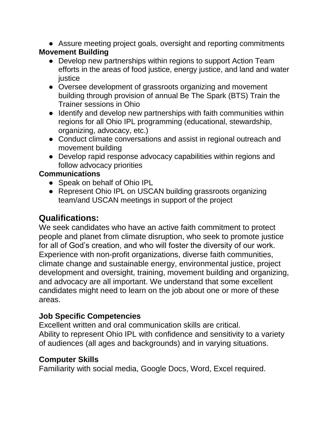• Assure meeting project goals, oversight and reporting commitments

## **Movement Building**

- Develop new partnerships within regions to support Action Team efforts in the areas of food justice, energy justice, and land and water iustice
- Oversee development of grassroots organizing and movement building through provision of annual Be The Spark (BTS) Train the Trainer sessions in Ohio
- Identify and develop new partnerships with faith communities within regions for all Ohio IPL programming (educational, stewardship, organizing, advocacy, etc.)
- Conduct climate conversations and assist in regional outreach and movement building
- Develop rapid response advocacy capabilities within regions and follow advocacy priorities

## **Communications**

- Speak on behalf of Ohio IPL
- Represent Ohio IPL on USCAN building grassroots organizing team/and USCAN meetings in support of the project

# **Qualifications:**

We seek candidates who have an active faith commitment to protect people and planet from climate disruption, who seek to promote justice for all of God's creation, and who will foster the diversity of our work. Experience with non-profit organizations, diverse faith communities, climate change and sustainable energy, environmental justice, project development and oversight, training, movement building and organizing, and advocacy are all important. We understand that some excellent candidates might need to learn on the job about one or more of these areas.

## **Job Specific Competencies**

Excellent written and oral communication skills are critical. Ability to represent Ohio IPL with confidence and sensitivity to a variety of audiences (all ages and backgrounds) and in varying situations.

## **Computer Skills**

Familiarity with social media, Google Docs, Word, Excel required.